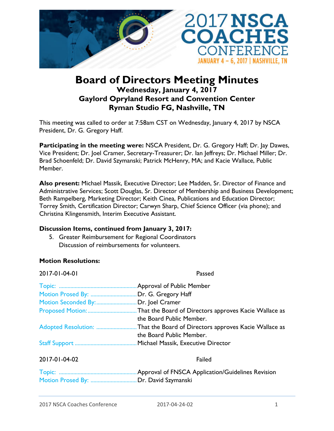

# **Board of Directors Meeting Minutes Wednesday, January 4, 2017 Gaylord Opryland Resort and Convention Center Ryman Studio FG, Nashville, TN**

This meeting was called to order at 7:58am CST on Wednesday, January 4, 2017 by NSCA President, Dr. G. Gregory Haff.

**Participating in the meeting were:** NSCA President, Dr. G. Gregory Haff; Dr. Jay Dawes, Vice President; Dr. Joel Cramer, Secretary-Treasurer; Dr. Ian Jeffreys; Dr. Michael Miller; Dr. Brad Schoenfeld; Dr. David Szymanski; Patrick McHenry, MA; and Kacie Wallace, Public Member.

**Also present:** Michael Massik, Executive Director; Lee Madden, Sr. Director of Finance and Administrative Services; Scott Douglas, Sr. Director of Membership and Business Development; Beth Rampelberg, Marketing Director; Keith Cinea, Publications and Education Director; Torrey Smith, Certification Director; Carwyn Sharp, Chief Science Officer (via phone); and Christina Klingensmith, Interim Executive Assistant.

## **Discussion Items, continued from January 3, 2017:**

5. Greater Reimbursement for Regional Coordinators Discussion of reimbursements for volunteers.

#### **Motion Resolutions:**

| Passed                                                |
|-------------------------------------------------------|
| Approval of Public Member                             |
| Dr. G. Gregory Haff                                   |
| Dr. Joel Cramer                                       |
| That the Board of Directors approves Kacie Wallace as |
| the Board Public Member.                              |
| That the Board of Directors approves Kacie Wallace as |
| the Board Public Member.                              |
| Michael Massik, Executive Director                    |
| Failed                                                |
| Approval of FNSCA Application/Guidelines Revision     |
| Dr. David Szymanski                                   |
|                                                       |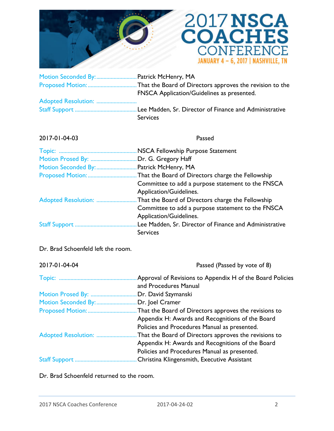



| Motion Seconded By:  Patrick McHenry, MA          |
|---------------------------------------------------|
|                                                   |
| <b>FNSCA Application/Guidelines as presented.</b> |
|                                                   |
|                                                   |
| <b>Services</b>                                   |

## 2017-01-04-03 Passed

|                     | NSCA Fellowship Purpose Statement                      |
|---------------------|--------------------------------------------------------|
| Motion Prosed By:   | Dr. G. Gregory Haff                                    |
| Motion Seconded By: | Patrick McHenry, MA                                    |
| Proposed Motion:    | That the Board of Directors charge the Fellowship      |
|                     | Committee to add a purpose statement to the FNSCA      |
|                     | Application/Guidelines.                                |
|                     | . That the Board of Directors charge the Fellowship    |
|                     | Committee to add a purpose statement to the FNSCA      |
|                     | Application/Guidelines.                                |
| Staff Support       | Lee Madden, Sr. Director of Finance and Administrative |
|                     | <b>Services</b>                                        |

Dr. Brad Schoenfeld left the room.

| 2017-01-04-04       | Passed (Passed by vote of 8)                              |
|---------------------|-----------------------------------------------------------|
|                     | Approval of Revisions to Appendix H of the Board Policies |
|                     | and Procedures Manual                                     |
| Motion Prosed By:   | Dr. David Szymanski                                       |
| Motion Seconded By: | Dr. Joel Cramer                                           |
| Proposed Motion:    | That the Board of Directors approves the revisions to     |
|                     | Appendix H: Awards and Recognitions of the Board          |
|                     | Policies and Procedures Manual as presented.              |
|                     | That the Board of Directors approves the revisions to     |
|                     | Appendix H: Awards and Recognitions of the Board          |
|                     | Policies and Procedures Manual as presented.              |
| Staff Support       | Christina Klingensmith, Executive Assistant               |

Dr. Brad Schoenfeld returned to the room.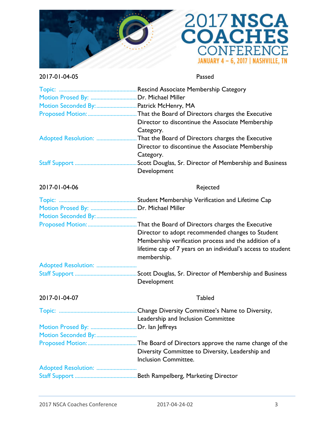



#### 2017-01-04-05 Passed

| Motion Seconded By:  Patrick McHenry, MA<br>Adopted Resolution: | Director to discontinue the Associate Membership<br>Category.<br>That the Board of Directors charges the Executive<br>Director to discontinue the Associate Membership                   |
|-----------------------------------------------------------------|------------------------------------------------------------------------------------------------------------------------------------------------------------------------------------------|
|                                                                 | Category.<br>Scott Douglas, Sr. Director of Membership and Business<br>Development                                                                                                       |
| 2017-01-04-06                                                   | Rejected                                                                                                                                                                                 |
| Motion Seconded By:                                             |                                                                                                                                                                                          |
|                                                                 | Director to adopt recommended changes to Student<br>Membership verification process and the addition of a<br>lifetime cap of 7 years on an individual's access to student<br>membership. |
|                                                                 |                                                                                                                                                                                          |
|                                                                 | Development                                                                                                                                                                              |
| 2017-01-04-07                                                   | <b>Tabled</b>                                                                                                                                                                            |
|                                                                 | Leadership and Inclusion Committee                                                                                                                                                       |
|                                                                 |                                                                                                                                                                                          |
| Motion Seconded By:                                             | Diversity Committee to Diversity, Leadership and<br>Inclusion Committee.                                                                                                                 |
|                                                                 |                                                                                                                                                                                          |
|                                                                 |                                                                                                                                                                                          |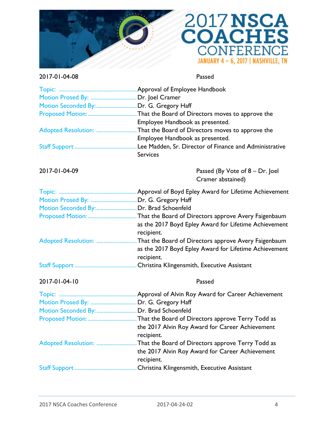



## 2017-01-04-08 Passed

| Motion Seconded By:  Dr. G. Gregory Haff |                                                                          |
|------------------------------------------|--------------------------------------------------------------------------|
|                                          |                                                                          |
|                                          | Employee Handbook as presented.                                          |
|                                          | Adopted Resolution: That the Board of Directors moves to approve the     |
|                                          | Employee Handbook as presented.                                          |
|                                          |                                                                          |
|                                          | <b>Services</b>                                                          |
| 2017-01-04-09                            | Passed (By Vote of 8 – Dr. Joel<br>Cramer abstained)                     |
|                                          |                                                                          |
|                                          |                                                                          |
| Motion Seconded By:  Dr. Brad Schoenfeld |                                                                          |
|                                          |                                                                          |
|                                          | as the 2017 Boyd Epley Award for Lifetime Achievement                    |
|                                          | recipient.                                                               |
|                                          | Adopted Resolution: That the Board of Directors approve Avery Faigenbaum |
|                                          | as the 2017 Boyd Epley Award for Lifetime Achievement                    |
|                                          | recipient.                                                               |
|                                          |                                                                          |
| 2017-01-04-10                            | Passed                                                                   |
|                                          |                                                                          |
|                                          |                                                                          |
| Motion Seconded By:  Dr. Brad Schoenfeld |                                                                          |
|                                          |                                                                          |
|                                          | the 2017 Alvin Roy Award for Career Achievement                          |
|                                          | recipient.                                                               |
|                                          | Adopted Resolution: That the Board of Directors approve Terry Todd as    |
|                                          | the 2017 Alvin Roy Award for Career Achievement                          |
|                                          | recipient.                                                               |
|                                          |                                                                          |